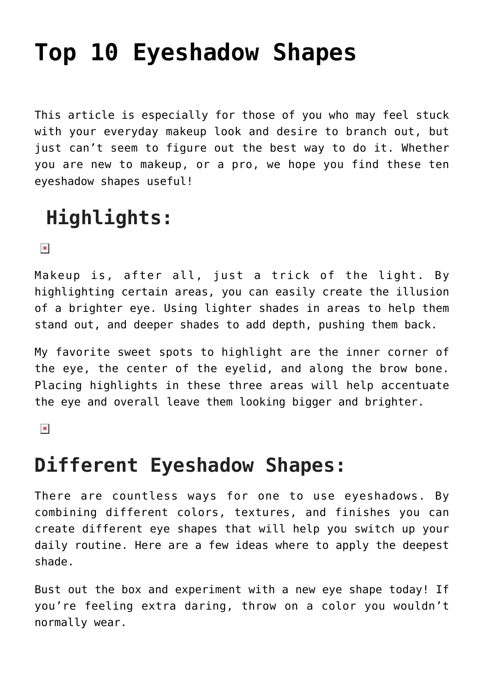# **[Top 10 Eyeshadow Shapes](https://www.hairnmakeup.info/eyeshadow-shapes/)**

This article is especially for those of you who may feel stuck with your everyday makeup look and desire to branch out, but just can't seem to figure out the best way to do it. Whether you are new to makeup, or a pro, we hope you find these ten eyeshadow shapes useful!

# **Highlights:**

 $\pmb{\times}$ 

Makeup is, after all, just a trick of the light. By highlighting certain areas, you can easily create the illusion of a brighter eye. Using lighter shades in areas to help them stand out, and deeper shades to add depth, pushing them back.

My favorite sweet spots to highlight are the inner corner of the eye, the center of the eyelid, and along the brow bone. Placing highlights in these three areas will help accentuate the eye and overall leave them looking bigger and brighter.

 $\pmb{\times}$ 

# **Different Eyeshadow Shapes:**

There are countless ways for one to use eyeshadows. By combining different colors, textures, and finishes you can create different eye shapes that will help you switch up your daily routine. Here are a few ideas where to apply the deepest shade.

Bust out the box and experiment with a new eye shape today! If you're feeling extra daring, throw on a color you wouldn't normally wear.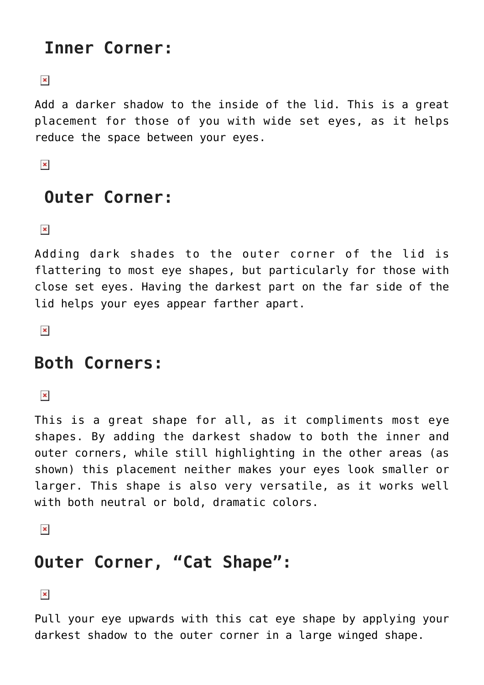# **Inner Corner:**

 $\pmb{\times}$ 

Add a darker shadow to the inside of the lid. This is a great placement for those of you with wide set eyes, as it helps reduce the space between your eyes.

 $\pmb{\times}$ 

## **Outer Corner:**

 $\pmb{\times}$ 

Adding dark shades to the outer corner of the lid is flattering to most eye shapes, but particularly for those with close set eyes. Having the darkest part on the far side of the lid helps your eyes appear farther apart.

 $\pmb{\times}$ 

#### **Both Corners:**

 $\pmb{\times}$ 

This is a great shape for all, as it compliments most eye shapes. By adding the darkest shadow to both the inner and outer corners, while still highlighting in the other areas (as shown) this placement neither makes your eyes look smaller or larger. This shape is also very versatile, as it works well with both neutral or bold, dramatic colors.

 $\pmb{\times}$ 

# **Outer Corner, "Cat Shape":**

 $\pmb{\times}$ 

Pull your eye upwards with this cat eye shape by applying your darkest shadow to the outer corner in a large winged shape.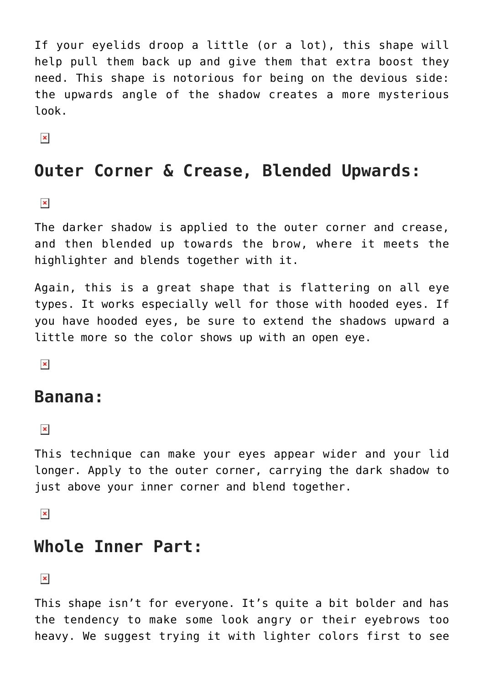If your eyelids droop a little (or a lot), this shape will help pull them back up and give them that extra boost they need. This shape is notorious for being on the devious side: the upwards angle of the shadow creates a more mysterious look.

 $\pmb{\times}$ 

### **Outer Corner & Crease, Blended Upwards:**

 $\pmb{\times}$ 

The darker shadow is applied to the outer corner and crease, and then blended up towards the brow, where it meets the highlighter and blends together with it.

Again, this is a great shape that is flattering on all eye types. It works especially well for those with hooded eyes. If you have hooded eyes, be sure to extend the shadows upward a little more so the color shows up with an open eye.

 $\pmb{\times}$ 

#### **Banana:**

 $\pmb{\times}$ 

This technique can make your eyes appear wider and your lid longer. Apply to the outer corner, carrying the dark shadow to just above your inner corner and blend together.

 $\pmb{\times}$ 

#### **Whole Inner Part:**

 $\pmb{\times}$ 

This shape isn't for everyone. It's quite a bit bolder and has the tendency to make some look angry or their eyebrows too heavy. We suggest trying it with lighter colors first to see